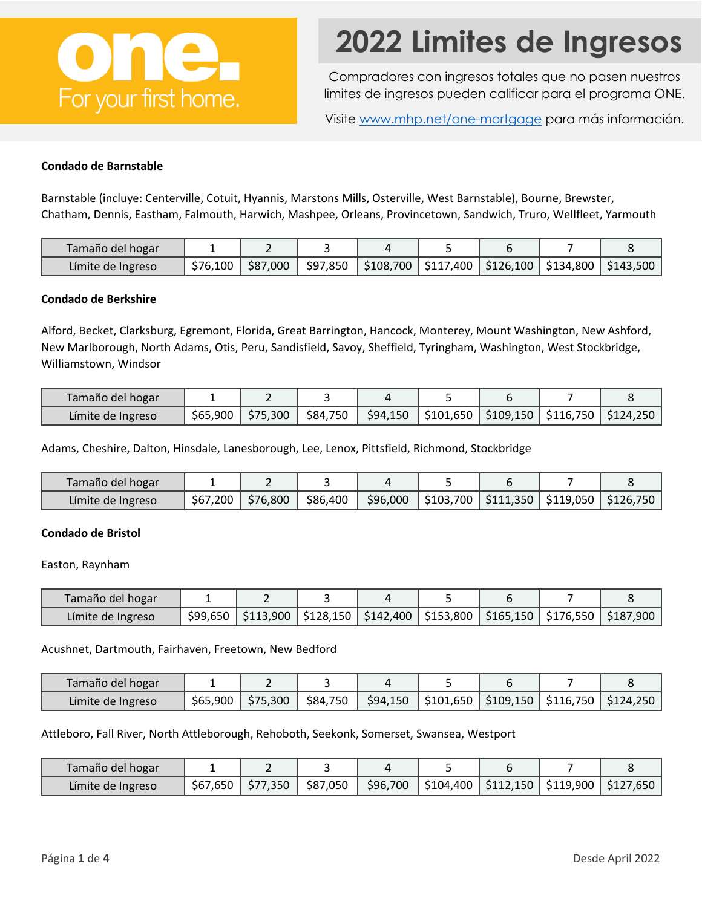

# **2022 Limites de Ingresos**

Compradores con ingresos totales que no pasen nuestros limites de ingresos pueden calificar para el programa ONE.

Visite [www.mhp.net/one-mortgage](http://www.mhp.net/one-mortgage) para más información.

## **Condado de Barnstable**

Barnstable (incluye: Centerville, Cotuit, Hyannis, Marstons Mills, Osterville, West Barnstable), Bourne, Brewster, Chatham, Dennis, Eastham, Falmouth, Harwich, Mashpee, Orleans, Provincetown, Sandwich, Truro, Wellfleet, Yarmouth

| Tamaño del hogar  |          |          |                                                                        |  |  |
|-------------------|----------|----------|------------------------------------------------------------------------|--|--|
| Límite de Ingreso | \$76,100 | \$87,000 | │ \$97,850   \$108,700   \$117,400   \$126,100   \$134,800   \$143,500 |  |  |

## **Condado de Berkshire**

Alford, Becket, Clarksburg, Egremont, Florida, Great Barrington, Hancock, Monterey, Mount Washington, New Ashford, New Marlborough, North Adams, Otis, Peru, Sandisfield, Savoy, Sheffield, Tyringham, Washington, West Stockbridge, Williamstown, Windsor

| Tamaño del hogar  |          |          |          |  |  |                                                                                                                                    |
|-------------------|----------|----------|----------|--|--|------------------------------------------------------------------------------------------------------------------------------------|
| Límite de Ingreso | \$65,900 | \$75,300 | \$84,750 |  |  | $\frac{1}{2}$ 94,150 $\frac{1}{2}$ \$101,650 $\frac{1}{2}$ \$109,150 $\frac{1}{2}$ \$116,750 $\frac{1}{2}$ \$124,250 $\frac{1}{2}$ |

Adams, Cheshire, Dalton, Hinsdale, Lanesborough, Lee, Lenox, Pittsfield, Richmond, Stockbridge

| Tamaño del hogar  |          |          |          |          |                                                |  |
|-------------------|----------|----------|----------|----------|------------------------------------------------|--|
| Límite de Ingreso | \$67,200 | \$76,800 | \$86,400 | \$96,000 | │\$103,700   \$111,350   \$119,050   \$126,750 |  |

## **Condado de Bristol**

Easton, Raynham

| Tamaño del hogar  |  |                                                                                                                                                                                     |  |  |
|-------------------|--|-------------------------------------------------------------------------------------------------------------------------------------------------------------------------------------|--|--|
| Límite de Ingreso |  | $\frac{1}{2}99,650$   $\frac{1}{3}13,900$   $\frac{1}{2}128,150$   $\frac{1}{2}142,400$   $\frac{1}{2}153,800$   $\frac{1}{2}165,150$   $\frac{1}{2}176,550$   $\frac{1}{2}187,900$ |  |  |

Acushnet, Dartmouth, Fairhaven, Freetown, New Bedford

| Tamaño del hogar  |          |          |          |          |           |           |           |          |
|-------------------|----------|----------|----------|----------|-----------|-----------|-----------|----------|
| Límite de Ingreso | \$65,900 | \$75,300 | \$84,750 | \$94,150 | \$101,650 | \$109,150 | \$116,750 | 5124.250 |

Attleboro, Fall River, North Attleborough, Rehoboth, Seekonk, Somerset, Swansea, Westport

| Tamaño del hogar  |          |          |          |          |            |            |           |          |
|-------------------|----------|----------|----------|----------|------------|------------|-----------|----------|
| Límite de Ingreso | \$67,650 | \$77.350 | \$87,050 | \$96,700 | $$104,400$ | $$112,150$ | \$119,900 | S127,650 |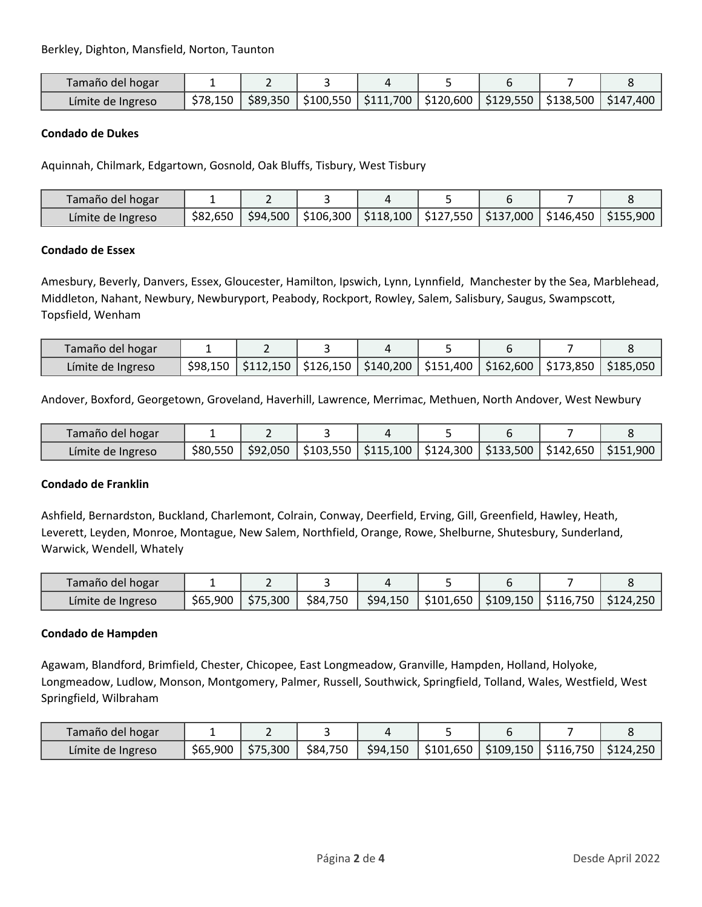| Tamaño del hogar  |          |  |                                                                                  |  |  |
|-------------------|----------|--|----------------------------------------------------------------------------------|--|--|
| Límite de Ingreso | \$78.150 |  | \$89,350   \$100,550   \$111,700   \$120,600   \$129,550   \$138,500   \$147,400 |  |  |

## **Condado de Dukes**

Aquinnah, Chilmark, Edgartown, Gosnold, Oak Bluffs, Tisbury, West Tisbury

| Tamaño del hogar  |          |          |                                                                       |  |  |
|-------------------|----------|----------|-----------------------------------------------------------------------|--|--|
| Límite de Ingreso | \$82,650 | \$94,500 | \$106,300   \$118,100   \$127,550   \$137,000   \$146,450   \$155,900 |  |  |

## **Condado de Essex**

Amesbury, Beverly, Danvers, Essex, Gloucester, Hamilton, Ipswich, Lynn, Lynnfield, Manchester by the Sea, Marblehead, Middleton, Nahant, Newbury, Newburyport, Peabody, Rockport, Rowley, Salem, Salisbury, Saugus, Swampscott, Topsfield, Wenham

| Tamaño del hogar  |  |                                                                                        |  |  |
|-------------------|--|----------------------------------------------------------------------------------------|--|--|
| Límite de Ingreso |  | $$98,150$ $$112,150$ $$126,150$ $$140,200$ $$151,400$ $$162,600$ $$173,850$ $$185,050$ |  |  |

Andover, Boxford, Georgetown, Groveland, Haverhill, Lawrence, Merrimac, Methuen, North Andover, West Newbury

| Tamaño del hogar  |          |                                                                                              |  |  |  |
|-------------------|----------|----------------------------------------------------------------------------------------------|--|--|--|
| Límite de Ingreso | \$80,550 | $\frac{1}{2}$ 92,050   \$103,550   \$115,100   \$124,300   \$133,500   \$142,650   \$151,900 |  |  |  |

## **Condado de Franklin**

Ashfield, Bernardston, Buckland, Charlemont, Colrain, Conway, Deerfield, Erving, Gill, Greenfield, Hawley, Heath, Leverett, Leyden, Monroe, Montague, New Salem, Northfield, Orange, Rowe, Shelburne, Shutesbury, Sunderland, Warwick, Wendell, Whately

| Tamaño del hogar  |          |          |          |          |                                               |  |
|-------------------|----------|----------|----------|----------|-----------------------------------------------|--|
| Límite de Ingreso | \$65,900 | \$75,300 | \$84,750 | \$94,150 | \$101,650   \$109,150   \$116,750   \$124,250 |  |

## **Condado de Hampden**

Agawam, Blandford, Brimfield, Chester, Chicopee, East Longmeadow, Granville, Hampden, Holland, Holyoke, Longmeadow, Ludlow, Monson, Montgomery, Palmer, Russell, Southwick, Springfield, Tolland, Wales, Westfield, West Springfield, Wilbraham

| Tamaño del hogar  |          |          |          |          |                                               |  |
|-------------------|----------|----------|----------|----------|-----------------------------------------------|--|
| Límite de Ingreso | \$65,900 | \$75,300 | \$84,750 | \$94,150 | \$101,650   \$109,150   \$116,750   \$124,250 |  |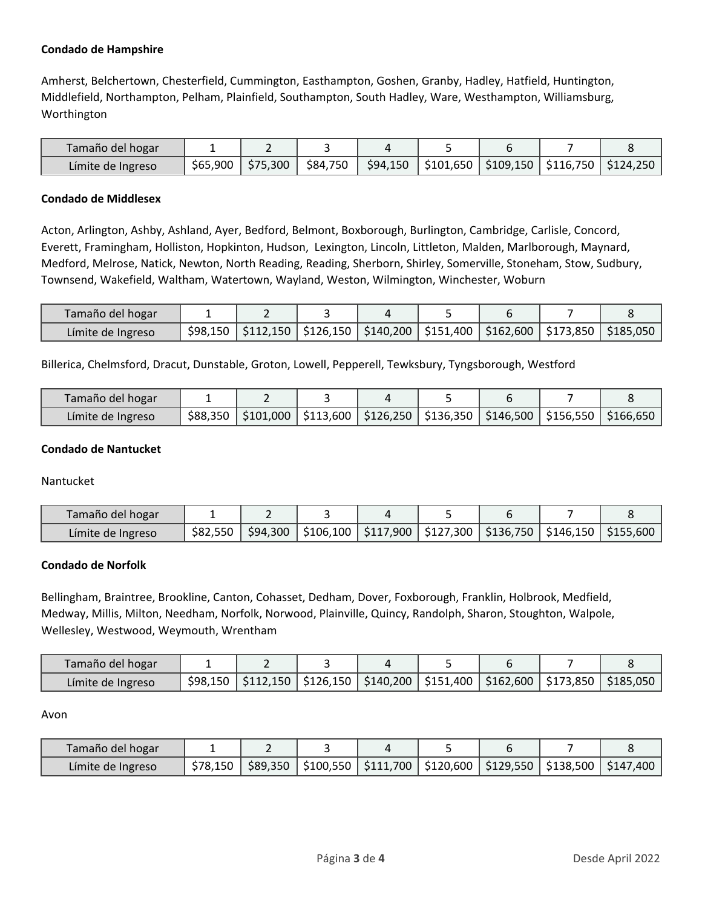# **Condado de Hampshire**

Amherst, Belchertown, Chesterfield, Cummington, Easthampton, Goshen, Granby, Hadley, Hatfield, Huntington, Middlefield, Northampton, Pelham, Plainfield, Southampton, South Hadley, Ware, Westhampton, Williamsburg, Worthington

| Tamaño del hogar  |                     |            |  |                                                          |  |
|-------------------|---------------------|------------|--|----------------------------------------------------------|--|
| Límite de Ingreso | \$65,900   \$75,300 | \$84,750 ∥ |  | \$94,150   \$101,650   \$109,150   \$116,750   \$124,250 |  |

## **Condado de Middlesex**

Acton, Arlington, Ashby, Ashland, Ayer, Bedford, Belmont, Boxborough, Burlington, Cambridge, Carlisle, Concord, Everett, Framingham, Holliston, Hopkinton, Hudson, Lexington, Lincoln, Littleton, Malden, Marlborough, Maynard, Medford, Melrose, Natick, Newton, North Reading, Reading, Sherborn, Shirley, Somerville, Stoneham, Stow, Sudbury, Townsend, Wakefield, Waltham, Watertown, Wayland, Weston, Wilmington, Winchester, Woburn

| Tamaño del hogar  |          |  |                                    |                                         |                                           |
|-------------------|----------|--|------------------------------------|-----------------------------------------|-------------------------------------------|
| Límite de Ingreso | \$98.150 |  | $$112,150$   \$126,150   \$140,200 | │ \$151,400 │ \$162,600 │ \$173,850 │ │ | $^{\backprime}$ \$185,050 $^{\backprime}$ |

Billerica, Chelmsford, Dracut, Dunstable, Groton, Lowell, Pepperell, Tewksbury, Tyngsborough, Westford

| Tamaño del hogar  |          |  |                                                                                                                                                                |  |  |
|-------------------|----------|--|----------------------------------------------------------------------------------------------------------------------------------------------------------------|--|--|
| Límite de Ingreso | \$88.350 |  | $\frac{1}{2}101,000$   $\frac{1}{2}113,600$   $\frac{1}{2}126,250$   $\frac{1}{2}136,350$   $\frac{1}{2}146,500$   $\frac{1}{2}156,550$   $\frac{1}{2}166,650$ |  |  |

## **Condado de Nantucket**

Nantucket

| Tamaño del hogar  |          |          |  |  |                                                                         |
|-------------------|----------|----------|--|--|-------------------------------------------------------------------------|
| Límite de Ingreso | \$82.550 | \$94,300 |  |  | \$106,100   \$117,900   \$127,300   \$136,750   \$146,150   \$155,600 ' |

## **Condado de Norfolk**

Bellingham, Braintree, Brookline, Canton, Cohasset, Dedham, Dover, Foxborough, Franklin, Holbrook, Medfield, Medway, Millis, Milton, Needham, Norfolk, Norwood, Plainville, Quincy, Randolph, Sharon, Stoughton, Walpole, Wellesley, Westwood, Weymouth, Wrentham

| Tamaño del hogar  |          |  |  |  |                                                                                                 |
|-------------------|----------|--|--|--|-------------------------------------------------------------------------------------------------|
| Límite de Ingreso | \$98,150 |  |  |  | $\frac{1}{2}$ \$112,150   \$126,150   \$140,200   \$151,400   \$162,600   \$173,850   \$185,050 |

Avon

| Tamaño del hogar  |          |           |                                                                       |  |  |
|-------------------|----------|-----------|-----------------------------------------------------------------------|--|--|
| Límite de Ingreso | \$78.150 | $$89,350$ | \$100,550   \$111,700   \$120,600   \$129,550   \$138,500   \$147,400 |  |  |